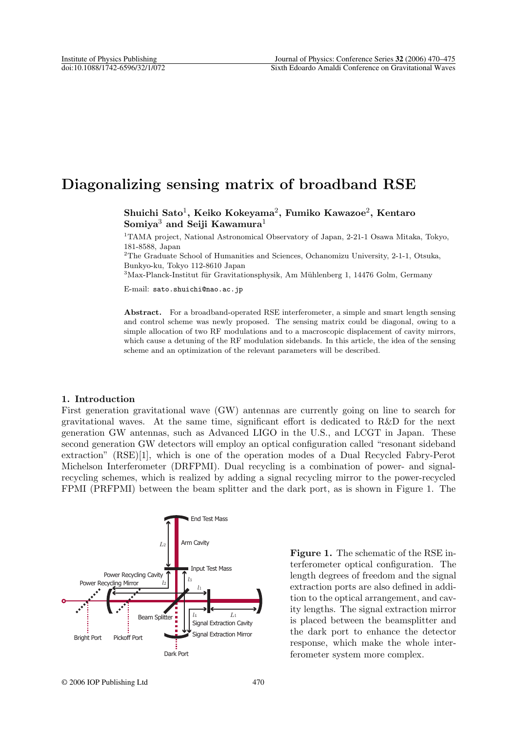# **Diagonalizing sensing matrix of broadband RSE**

**Shuichi Sato**1**, Keiko Kokeyama**2**, Fumiko Kawazoe**2**, Kentaro Somiya**<sup>3</sup> **and Seiji Kawamura**<sup>1</sup>

<sup>1</sup>TAMA project, National Astronomical Observatory of Japan, 2-21-1 Osawa Mitaka, Tokyo, 181-8588, Japan

<sup>2</sup>The Graduate School of Humanities and Sciences, Ochanomizu University, 2-1-1, Otsuka, Bunkyo-ku, Tokyo 112-8610 Japan

 $3$ Max-Planck-Institut für Gravitationsphysik, Am Mühlenberg 1, 14476 Golm, Germany

E-mail: sato.shuichi@nao.ac.jp

**Abstract.** For a broadband-operated RSE interferometer, a simple and smart length sensing and control scheme was newly proposed. The sensing matrix could be diagonal, owing to a simple allocation of two RF modulations and to a macroscopic displacement of cavity mirrors, which cause a detuning of the RF modulation sidebands. In this article, the idea of the sensing scheme and an optimization of the relevant parameters will be described.

## **1. Introduction**

First generation gravitational wave (GW) antennas are currently going on line to search for gravitational waves. At the same time, significant effort is dedicated to R&D for the next generation GW antennas, such as Advanced LIGO in the U.S., and LCGT in Japan. These second generation GW detectors will employ an optical configuration called "resonant sideband extraction" (RSE)[1], which is one of the operation modes of a Dual Recycled Fabry-Perot Michelson Interferometer (DRFPMI). Dual recycling is a combination of power- and signalrecycling schemes, which is realized by adding a signal recycling mirror to the power-recycled FPMI (PRFPMI) between the beam splitter and the dark port, as is shown in Figure 1. The



**Figure 1.** The schematic of the RSE interferometer optical configuration. The length degrees of freedom and the signal extraction ports are also defined in addition to the optical arrangement, and cavity lengths. The signal extraction mirror is placed between the beamsplitter and the dark port to enhance the detector response, which make the whole interferometer system more complex.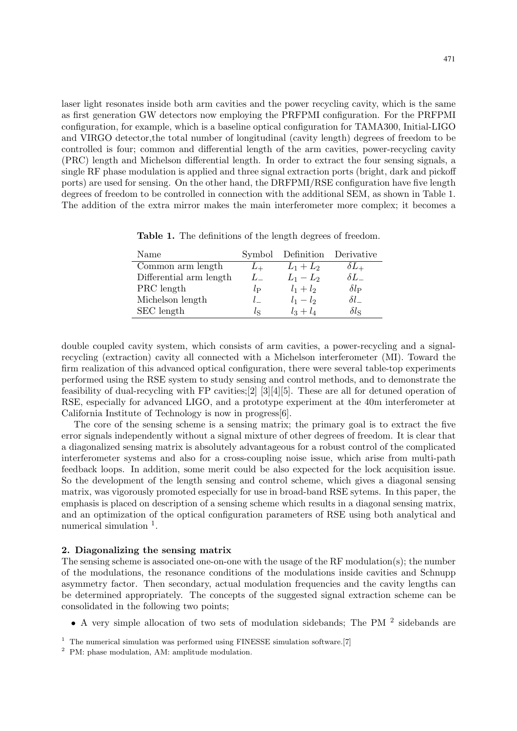laser light resonates inside both arm cavities and the power recycling cavity, which is the same as first generation GW detectors now employing the PRFPMI configuration. For the PRFPMI configuration, for example, which is a baseline optical configuration for TAMA300, Initial-LIGO and VIRGO detector,the total number of longitudinal (cavity length) degrees of freedom to be controlled is four; common and differential length of the arm cavities, power-recycling cavity (PRC) length and Michelson differential length. In order to extract the four sensing signals, a single RF phase modulation is applied and three signal extraction ports (bright, dark and pickoff ports) are used for sensing. On the other hand, the DRFPMI/RSE configuration have five length degrees of freedom to be controlled in connection with the additional SEM, as shown in Table 1. The addition of the extra mirror makes the main interferometer more complex; it becomes a

| Name                    |               | Symbol Definition Derivative |                    |
|-------------------------|---------------|------------------------------|--------------------|
| Common arm length       | $L_{+}$       | $L_1 + L_2$                  | $\delta L_{+}$     |
| Differential arm length | $L_{-}$       | $L_1 - L_2$                  | $\delta L_-$       |
| PRC length              | $l_{\rm P}$   | $l_1 + l_2$                  | $\delta l_{\rm P}$ |
| Michelson length        | $\mathcal{L}$ | $l_1 - l_2$                  | $\delta l_-$       |
| SEC length              | lς            | $l_3 + l_4$                  | $\delta l_{\rm S}$ |

**Table 1.** The definitions of the length degrees of freedom.

double coupled cavity system, which consists of arm cavities, a power-recycling and a signalrecycling (extraction) cavity all connected with a Michelson interferometer (MI). Toward the firm realization of this advanced optical configuration, there were several table-top experiments performed using the RSE system to study sensing and control methods, and to demonstrate the feasibility of dual-recycling with FP cavities;[2] [3][4][5]. These are all for detuned operation of RSE, especially for advanced LIGO, and a prototype experiment at the 40m interferometer at California Institute of Technology is now in progress[6].

The core of the sensing scheme is a sensing matrix; the primary goal is to extract the five error signals independently without a signal mixture of other degrees of freedom. It is clear that a diagonalized sensing matrix is absolutely advantageous for a robust control of the complicated interferometer systems and also for a cross-coupling noise issue, which arise from multi-path feedback loops. In addition, some merit could be also expected for the lock acquisition issue. So the development of the length sensing and control scheme, which gives a diagonal sensing matrix, was vigorously promoted especially for use in broad-band RSE sytems. In this paper, the emphasis is placed on description of a sensing scheme which results in a diagonal sensing matrix, and an optimization of the optical configuration parameters of RSE using both analytical and numerical simulation  $\frac{1}{1}$ .

## **2. Diagonalizing the sensing matrix**

The sensing scheme is associated one-on-one with the usage of the RF modulation(s); the number of the modulations, the resonance conditions of the modulations inside cavities and Schnupp asymmetry factor. Then secondary, actual modulation frequencies and the cavity lengths can be determined appropriately. The concepts of the suggested signal extraction scheme can be consolidated in the following two points;

- A very simple allocation of two sets of modulation sidebands; The PM <sup>2</sup> sidebands are
- <sup>1</sup> The numerical simulation was performed using FINESSE simulation software.[7]
- <sup>2</sup> PM: phase modulation, AM: amplitude modulation.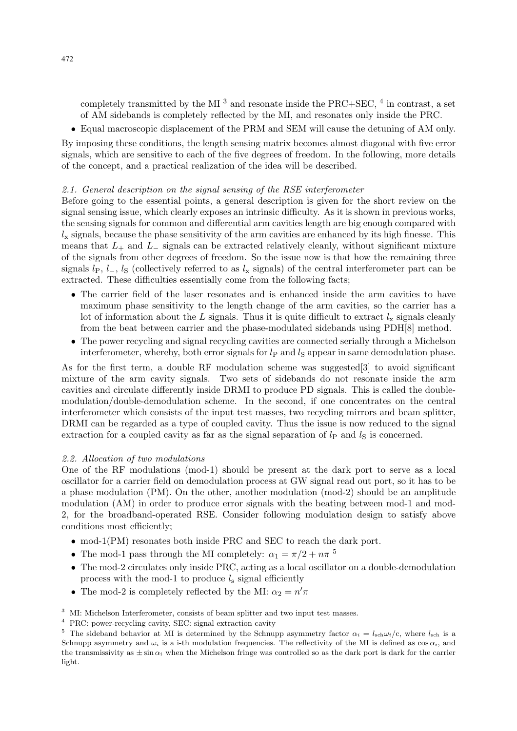completely transmitted by the MI<sup>3</sup> and resonate inside the PRC+SEC,  $4$  in contrast, a set of AM sidebands is completely reflected by the MI, and resonates only inside the PRC.

• Equal macroscopic displacement of the PRM and SEM will cause the detuning of AM only.

By imposing these conditions, the length sensing matrix becomes almost diagonal with five error signals, which are sensitive to each of the five degrees of freedom. In the following, more details of the concept, and a practical realization of the idea will be described.

## 2.1. General description on the signal sensing of the RSE interferometer

Before going to the essential points, a general description is given for the short review on the signal sensing issue, which clearly exposes an intrinsic difficulty. As it is shown in previous works, the sensing signals for common and differential arm cavities length are big enough compared with  $l_x$  signals, because the phase sensitivity of the arm cavities are enhanced by its high finesse. This means that  $L_{+}$  and  $L_{-}$  signals can be extracted relatively cleanly, without significant mixture of the signals from other degrees of freedom. So the issue now is that how the remaining three signals  $l_P$ ,  $l_-, l_S$  (collectively referred to as  $l_x$  signals) of the central interferometer part can be extracted. These difficulties essentially come from the following facts;

- The carrier field of the laser resonates and is enhanced inside the arm cavities to have maximum phase sensitivity to the length change of the arm cavities, so the carrier has a lot of information about the  $L$  signals. Thus it is quite difficult to extract  $l_x$  signals cleanly from the beat between carrier and the phase-modulated sidebands using PDH[8] method.
- The power recycling and signal recycling cavities are connected serially through a Michelson interferometer, whereby, both error signals for  $l<sub>P</sub>$  and  $l<sub>S</sub>$  appear in same demodulation phase.

As for the first term, a double RF modulation scheme was suggested[3] to avoid significant mixture of the arm cavity signals. Two sets of sidebands do not resonate inside the arm cavities and circulate differently inside DRMI to produce PD signals. This is called the doublemodulation/double-demodulation scheme. In the second, if one concentrates on the central interferometer which consists of the input test masses, two recycling mirrors and beam splitter, DRMI can be regarded as a type of coupled cavity. Thus the issue is now reduced to the signal extraction for a coupled cavity as far as the signal separation of  $l_P$  and  $l_S$  is concerned.

## 2.2. Allocation of two modulations

One of the RF modulations (mod-1) should be present at the dark port to serve as a local oscillator for a carrier field on demodulation process at GW signal read out port, so it has to be a phase modulation (PM). On the other, another modulation (mod-2) should be an amplitude modulation (AM) in order to produce error signals with the beating between mod-1 and mod-2, for the broadband-operated RSE. Consider following modulation design to satisfy above conditions most efficiently;

- mod-1(PM) resonates both inside PRC and SEC to reach the dark port.
- The mod-1 pass through the MI completely:  $\alpha_1 = \pi/2 + n\pi^{-5}$
- The mod-2 circulates only inside PRC, acting as a local oscillator on a double-demodulation process with the mod-1 to produce  $l_s$  signal efficiently
- The mod-2 is completely reflected by the MI:  $\alpha_2 = n'\pi$

<sup>&</sup>lt;sup>3</sup> MI: Michelson Interferometer, consists of beam splitter and two input test masses.

<sup>4</sup> PRC: power-recycling cavity, SEC: signal extraction cavity

<sup>&</sup>lt;sup>5</sup> The sideband behavior at MI is determined by the Schnupp asymmetry factor  $\alpha_i = l_{\text{sch}} \omega_i / c$ , where  $l_{\text{sch}}$  is a Schnupp asymmetry and  $\omega_i$  is a i-th modulation frequencies. The reflectivity of the MI is defined as  $\cos \alpha_i$ , and the transmissivity as  $\pm \sin \alpha_i$  when the Michelson fringe was controlled so as the dark port is dark for the carrier light.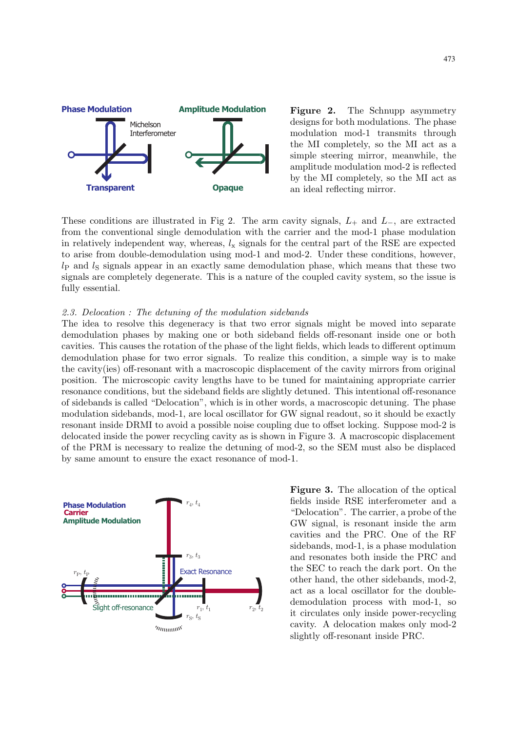

**Figure 2.** The Schnupp asymmetry designs for both modulations. The phase modulation mod-1 transmits through the MI completely, so the MI act as a simple steering mirror, meanwhile, the amplitude modulation mod-2 is reflected by the MI completely, so the MI act as an ideal reflecting mirror.

These conditions are illustrated in Fig 2. The arm cavity signals,  $L_+$  and  $L_-$ , are extracted from the conventional single demodulation with the carrier and the mod-1 phase modulation in relatively independent way, whereas,  $l_x$  signals for the central part of the RSE are expected to arise from double-demodulation using mod-1 and mod-2. Under these conditions, however,  $l<sub>P</sub>$  and  $l<sub>S</sub>$  signals appear in an exactly same demodulation phase, which means that these two signals are completely degenerate. This is a nature of the coupled cavity system, so the issue is fully essential.

#### 2.3. Delocation : The detuning of the modulation sidebands

The idea to resolve this degeneracy is that two error signals might be moved into separate demodulation phases by making one or both sideband fields off-resonant inside one or both cavities. This causes the rotation of the phase of the light fields, which leads to different optimum demodulation phase for two error signals. To realize this condition, a simple way is to make the cavity(ies) off-resonant with a macroscopic displacement of the cavity mirrors from original position. The microscopic cavity lengths have to be tuned for maintaining appropriate carrier resonance conditions, but the sideband fields are slightly detuned. This intentional off-resonance of sidebands is called "Delocation", which is in other words, a macroscopic detuning. The phase modulation sidebands, mod-1, are local oscillator for GW signal readout, so it should be exactly resonant inside DRMI to avoid a possible noise coupling due to offset locking. Suppose mod-2 is delocated inside the power recycling cavity as is shown in Figure 3. A macroscopic displacement of the PRM is necessary to realize the detuning of mod-2, so the SEM must also be displaced by same amount to ensure the exact resonance of mod-1.



**Figure 3.** The allocation of the optical fields inside RSE interferometer and a "Delocation". The carrier, a probe of the GW signal, is resonant inside the arm cavities and the PRC. One of the RF sidebands, mod-1, is a phase modulation and resonates both inside the PRC and the SEC to reach the dark port. On the other hand, the other sidebands, mod-2, act as a local oscillator for the doubledemodulation process with mod-1, so it circulates only inside power-recycling cavity. A delocation makes only mod-2 slightly off-resonant inside PRC.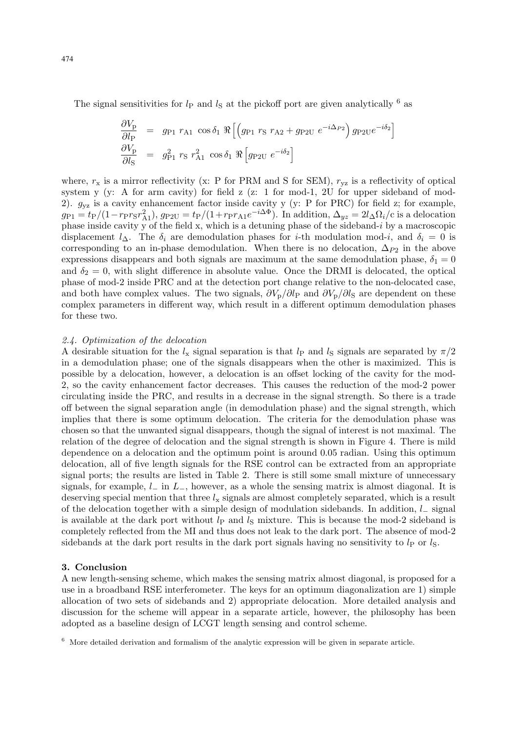The signal sensitivities for  $l_P$  and  $l_S$  at the pickoff port are given analytically  $^6$  as

$$
\frac{\partial V_{\rm p}}{\partial l_{\rm P}} = g_{\rm P1} r_{\rm A1} \cos \delta_1 \Re \left[ \left( g_{\rm P1} r_{\rm S} r_{\rm A2} + g_{\rm P2U} e^{-i\Delta_{P2}} \right) g_{\rm P2U} e^{-i\delta_2} \right]
$$
  

$$
\frac{\partial V_{\rm p}}{\partial l_{\rm S}} = g_{\rm P1}^2 r_{\rm S} r_{\rm A1}^2 \cos \delta_1 \Re \left[ g_{\rm P2U} e^{-i\delta_2} \right]
$$

where,  $r_x$  is a mirror reflectivity (x: P for PRM and S for SEM),  $r_{yz}$  is a reflectivity of optical system y (y: A for arm cavity) for field z (z: 1 for mod-1, 2U for upper sideband of mod-2).  $g_{vz}$  is a cavity enhancement factor inside cavity y (y: P for PRC) for field z; for example,  $g_{\rm P1} = t_{\rm P}/(1-r_{\rm P}r_{\rm S}r_{\rm A1}^2)$ ,  $g_{\rm P2U} = t_{\rm P}/(1+r_{\rm P}r_{\rm A1}e^{-i\Delta\Phi})$ . In addition,  $\Delta_{yz} = 2l_{\Delta}\Omega_i/c$  is a delocation phase inside cavity y of the field x, which is a detuning phase of the sideband-i by a macroscopic displacement  $l_{\Delta}$ . The  $\delta_i$  are demodulation phases for *i*-th modulation mod-*i*, and  $\delta_i = 0$  is corresponding to an in-phase demodulation. When there is no delocation,  $\Delta_{P2}$  in the above expressions disappears and both signals are maximum at the same demodulation phase,  $\delta_1 = 0$ and  $\delta_2 = 0$ , with slight difference in absolute value. Once the DRMI is delocated, the optical phase of mod-2 inside PRC and at the detection port change relative to the non-delocated case, and both have complex values. The two signals,  $\partial V_{p}/\partial l_{p}$  and  $\partial V_{p}/\partial l_{S}$  are dependent on these complex parameters in different way, which result in a different optimum demodulation phases for these two.

## 2.4. Optimization of the delocation

A desirable situation for the  $l_x$  signal separation is that  $l_p$  and  $l_s$  signals are separated by  $\pi/2$ in a demodulation phase; one of the signals disappears when the other is maximized. This is possible by a delocation, however, a delocation is an offset locking of the cavity for the mod-2, so the cavity enhancement factor decreases. This causes the reduction of the mod-2 power circulating inside the PRC, and results in a decrease in the signal strength. So there is a trade off between the signal separation angle (in demodulation phase) and the signal strength, which implies that there is some optimum delocation. The criteria for the demodulation phase was chosen so that the unwanted signal disappears, though the signal of interest is not maximal. The relation of the degree of delocation and the signal strength is shown in Figure 4. There is mild dependence on a delocation and the optimum point is around 0.05 radian. Using this optimum delocation, all of five length signals for the RSE control can be extracted from an appropriate signal ports; the results are listed in Table 2. There is still some small mixture of unnecessary signals, for example,  $l_-\$  in  $L_-\$ , however, as a whole the sensing matrix is almost diagonal. It is deserving special mention that three  $l_x$  signals are almost completely separated, which is a result of the delocation together with a simple design of modulation sidebands. In addition, l<sup>−</sup> signal is available at the dark port without  $l_p$  and  $l_s$  mixture. This is because the mod-2 sideband is completely reflected from the MI and thus does not leak to the dark port. The absence of mod-2 sidebands at the dark port results in the dark port signals having no sensitivity to  $l<sub>P</sub>$  or  $l<sub>S</sub>$ .

#### **3. Conclusion**

A new length-sensing scheme, which makes the sensing matrix almost diagonal, is proposed for a use in a broadband RSE interferometer. The keys for an optimum diagonalization are 1) simple allocation of two sets of sidebands and 2) appropriate delocation. More detailed analysis and discussion for the scheme will appear in a separate article, however, the philosophy has been adopted as a baseline design of LCGT length sensing and control scheme.

 $6\text{ }$  More detailed derivation and formalism of the analytic expression will be given in separate article.